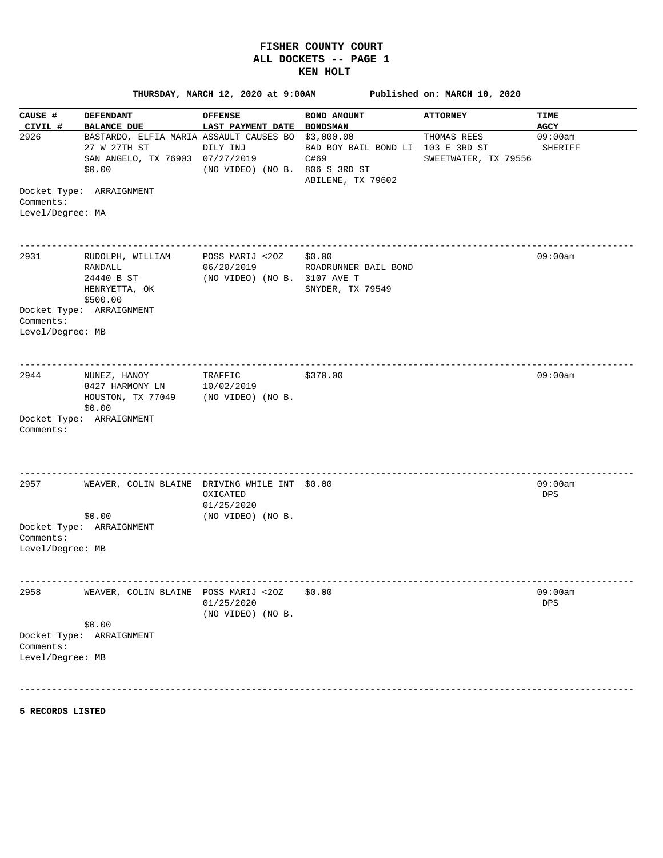## **FISHER COUNTY COURT ALL DOCKETS -- PAGE 1 KEN HOLT**

 **THURSDAY, MARCH 12, 2020 at 9:00AM Published on: MARCH 10, 2020 CAUSE # DEFENDANT** OFFENSE BOND AMOUNT ATTORNEY TIME  **CIVIL # BALANCE DUE LAST PAYMENT DATE BONDSMAN AGCY**  2926 BASTARDO, ELFIA MARIA ASSAULT CAUSES BO \$3,000.00 THOMAS REES 09:00am 27 W 27TH ST DILY INJ BAD BOY BAIL BOND LI 103 E 3RD ST SHERIFF SAN ANGELO, TX 76903 07/27/2019 C#69 SWEETWATER, TX 79556 \$20.00 (NO VIDEO) (NO B. 806 \$ 3RD ST ABILENE, TX 79602 Docket Type: ARRAIGNMENT Comments: Level/Degree: MA ------------------------------------------------------------------------------------------------------------------ 2931 RUDOLPH, WILLIAM POSS MARIJ <2OZ \$0.00 09:00am RANDALL 06/20/2019 ROADRUNNER BAIL BOND EXANDALL 06/20/2019 ROADRONNER<br>24440 B ST (NO VIDEO) (NO B. 3107 AVE T HENRYETTA, OK SNYDER, TX 79549 \$500.00 Docket Type: ARRAIGNMENT Comments: Level/Degree: MB ------------------------------------------------------------------------------------------------------------------ 2944 NUNEZ, HANOY TRAFFIC \$370.00 \$300.00 09:00am 8427 HARMONY LN 10/02/2019 HOUSTON, TX 77049 (NO VIDEO) (NO B. \$0.00 Docket Type: ARRAIGNMENT Comments: ------------------------------------------------------------------------------------------------------------------ 2957 WEAVER, COLIN BLAINE DRIVING WHILE INT \$0.00 09:00 09:00 09:00 09:00 09:00 09:00 09:00 09:00 09:00 09:00 09:00 09:00 09:00 09:00 09:00 09:00 09:00 09:00 09:00 09:00 09:00 09:00 09:00 09:00 09:00 09:00 09:00 09:00 09:0 OXICATED DESCRIPTION OF PROPERTY AND LOCATED DESCRIPTION OF PROPERTY AND LOCATED DESCRIPTION OF PROPERTY AND LOCATED OF PROPERTY AND LOCATED OF PROPERTY AND LOCATED OF PROPERTY AND LOCATED OF PROPERTY AND LOCATED OF PROPER 01/25/2020<br>0.00 (NO VIDEO) (NO VIDEO) (NO B. Docket Type: ARRAIGNMENT Comments: Level/Degree: MB ------------------------------------------------------------------------------------------------------------------ 2958 WEAVER, COLIN BLAINE POSS MARIJ <2OZ \$0.00 09:00am 01/25/2020 DPS (NO VIDEO) (NO B. \$0.00 Docket Type: ARRAIGNMENT Comments: Level/Degree: MB

------------------------------------------------------------------------------------------------------------------

**5 RECORDS LISTED**